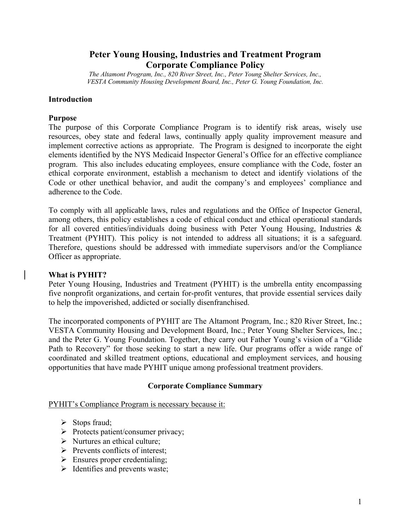# **Peter Young Housing, Industries and Treatment Program Corporate Compliance Policy**

*The Altamont Program, Inc., 820 River Street, Inc., Peter Young Shelter Services, Inc., VESTA Community Housing Development Board, Inc., Peter G. Young Foundation, Inc.*

### **Introduction**

#### **Purpose**

The purpose of this Corporate Compliance Program is to identify risk areas, wisely use resources, obey state and federal laws, continually apply quality improvement measure and implement corrective actions as appropriate. The Program is designed to incorporate the eight elements identified by the NYS Medicaid Inspector General's Office for an effective compliance program. This also includes educating employees, ensure compliance with the Code, foster an ethical corporate environment, establish a mechanism to detect and identify violations of the Code or other unethical behavior, and audit the company's and employees' compliance and adherence to the Code.

To comply with all applicable laws, rules and regulations and the Office of Inspector General, among others, this policy establishes a code of ethical conduct and ethical operational standards for all covered entities/individuals doing business with Peter Young Housing, Industries & Treatment (PYHIT). This policy is not intended to address all situations; it is a safeguard. Therefore, questions should be addressed with immediate supervisors and/or the Compliance Officer as appropriate.

#### **What is PYHIT?**

Peter Young Housing, Industries and Treatment (PYHIT) is the umbrella entity encompassing five nonprofit organizations, and certain for-profit ventures, that provide essential services daily to help the impoverished, addicted or socially disenfranchised.

The incorporated components of PYHIT are The Altamont Program, Inc.; 820 River Street, Inc.; VESTA Community Housing and Development Board, Inc.; Peter Young Shelter Services, Inc.; and the Peter G. Young Foundation. Together, they carry out Father Young's vision of a "Glide Path to Recovery" for those seeking to start a new life. Our programs offer a wide range of coordinated and skilled treatment options, educational and employment services, and housing opportunities that have made PYHIT unique among professional treatment providers.

## **Corporate Compliance Summary**

PYHIT's Compliance Program is necessary because it:

- $\triangleright$  Stops fraud;
- Protects patient/consumer privacy;
- $\triangleright$  Nurtures an ethical culture;
- $\triangleright$  Prevents conflicts of interest:
- $\triangleright$  Ensures proper credentialing;
- $\triangleright$  Identifies and prevents waste;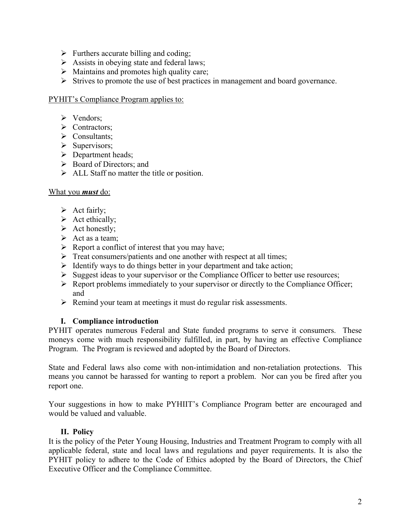- $\triangleright$  Furthers accurate billing and coding;
- $\triangleright$  Assists in obeying state and federal laws;
- $\triangleright$  Maintains and promotes high quality care;
- $\triangleright$  Strives to promote the use of best practices in management and board governance.

## PYHIT's Compliance Program applies to:

- > Vendors:
- Contractors;
- > Consultants;
- $\triangleright$  Supervisors;
- $\triangleright$  Department heads;
- $\triangleright$  Board of Directors; and
- $\triangleright$  ALL Staff no matter the title or position.

## What you *must* do:

- $\triangleright$  Act fairly;
- $\triangleright$  Act ethically;
- $\triangleright$  Act honestly;
- $\triangleright$  Act as a team;
- $\triangleright$  Report a conflict of interest that you may have;
- $\triangleright$  Treat consumers/patients and one another with respect at all times;
- $\triangleright$  Identify ways to do things better in your department and take action;
- $\triangleright$  Suggest ideas to your supervisor or the Compliance Officer to better use resources;
- $\triangleright$  Report problems immediately to your supervisor or directly to the Compliance Officer; and
- $\triangleright$  Remind your team at meetings it must do regular risk assessments.

## **I. Compliance introduction**

PYHIT operates numerous Federal and State funded programs to serve it consumers. These moneys come with much responsibility fulfilled, in part, by having an effective Compliance Program. The Program is reviewed and adopted by the Board of Directors.

State and Federal laws also come with non-intimidation and non-retaliation protections. This means you cannot be harassed for wanting to report a problem. Nor can you be fired after you report one.

Your suggestions in how to make PYHIIT's Compliance Program better are encouraged and would be valued and valuable.

# **II. Policy**

It is the policy of the Peter Young Housing, Industries and Treatment Program to comply with all applicable federal, state and local laws and regulations and payer requirements. It is also the PYHIT policy to adhere to the Code of Ethics adopted by the Board of Directors, the Chief Executive Officer and the Compliance Committee.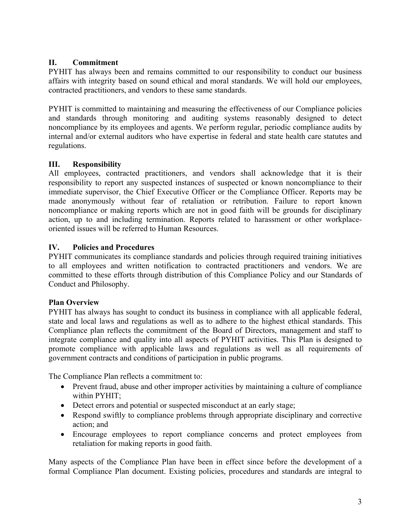## **II. Commitment**

PYHIT has always been and remains committed to our responsibility to conduct our business affairs with integrity based on sound ethical and moral standards. We will hold our employees, contracted practitioners, and vendors to these same standards.

PYHIT is committed to maintaining and measuring the effectiveness of our Compliance policies and standards through monitoring and auditing systems reasonably designed to detect noncompliance by its employees and agents. We perform regular, periodic compliance audits by internal and/or external auditors who have expertise in federal and state health care statutes and regulations.

# **III. Responsibility**

All employees, contracted practitioners, and vendors shall acknowledge that it is their responsibility to report any suspected instances of suspected or known noncompliance to their immediate supervisor, the Chief Executive Officer or the Compliance Officer. Reports may be made anonymously without fear of retaliation or retribution. Failure to report known noncompliance or making reports which are not in good faith will be grounds for disciplinary action, up to and including termination. Reports related to harassment or other workplaceoriented issues will be referred to Human Resources.

## **IV. Policies and Procedures**

PYHIT communicates its compliance standards and policies through required training initiatives to all employees and written notification to contracted practitioners and vendors. We are committed to these efforts through distribution of this Compliance Policy and our Standards of Conduct and Philosophy.

## **Plan Overview**

PYHIT has always has sought to conduct its business in compliance with all applicable federal, state and local laws and regulations as well as to adhere to the highest ethical standards. This Compliance plan reflects the commitment of the Board of Directors, management and staff to integrate compliance and quality into all aspects of PYHIT activities. This Plan is designed to promote compliance with applicable laws and regulations as well as all requirements of government contracts and conditions of participation in public programs.

The Compliance Plan reflects a commitment to:

- Prevent fraud, abuse and other improper activities by maintaining a culture of compliance within PYHIT;
- Detect errors and potential or suspected misconduct at an early stage;
- Respond swiftly to compliance problems through appropriate disciplinary and corrective action; and
- Encourage employees to report compliance concerns and protect employees from retaliation for making reports in good faith.

Many aspects of the Compliance Plan have been in effect since before the development of a formal Compliance Plan document. Existing policies, procedures and standards are integral to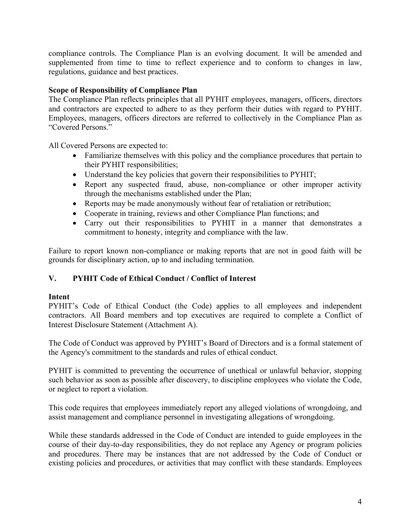compliance controls. The Compliance Plan is an evolving document. It will be amended and supplemented from time to time to reflect experience and to conform to changes in law, regulations, guidance and best practices.

## **Scope of Responsibility of Compliance Plan**

The Compliance Plan reflects principles that all PYHIT employees, managers, officers, directors and contractors are expected to adhere to as they perform their duties with regard to PYHIT. Employees, managers, officers directors are referred to collectively in the Compliance Plan as "Covered Persons."

All Covered Persons are expected to:

- Familiarize themselves with this policy and the compliance procedures that pertain to their PYHIT responsibilities;
- Understand the key policies that govern their responsibilities to PYHIT;
- Report any suspected fraud, abuse, non-compliance or other improper activity through the mechanisms established under the Plan;
- Reports may be made anonymously without fear of retaliation or retribution;
- Cooperate in training, reviews and other Compliance Plan functions; and
- Carry out their responsibilities to PYHIT in a manner that demonstrates a commitment to honesty, integrity and compliance with the law.

Failure to report known non-compliance or making reports that are not in good faith will be grounds for disciplinary action, up to and including termination.

## **V. PYHIT Code of Ethical Conduct / Conflict of Interest**

## **Intent**

PYHIT's Code of Ethical Conduct (the Code) applies to all employees and independent contractors. All Board members and top executives are required to complete a Conflict of Interest Disclosure Statement (Attachment A).

The Code of Conduct was approved by PYHIT's Board of Directors and is a formal statement of the Agency's commitment to the standards and rules of ethical conduct.

PYHIT is committed to preventing the occurrence of unethical or unlawful behavior, stopping such behavior as soon as possible after discovery, to discipline employees who violate the Code, or neglect to report a violation.

This code requires that employees immediately report any alleged violations of wrongdoing, and assist management and compliance personnel in investigating allegations of wrongdoing.

While these standards addressed in the Code of Conduct are intended to guide employees in the course of their day-to-day responsibilities, they do not replace any Agency or program policies and procedures. There may be instances that are not addressed by the Code of Conduct or existing policies and procedures, or activities that may conflict with these standards. Employees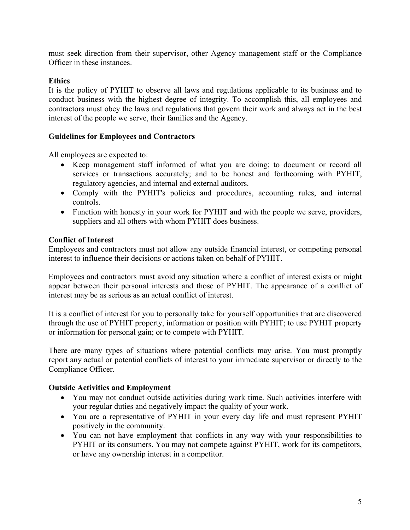must seek direction from their supervisor, other Agency management staff or the Compliance Officer in these instances.

## **Ethics**

It is the policy of PYHIT to observe all laws and regulations applicable to its business and to conduct business with the highest degree of integrity. To accomplish this, all employees and contractors must obey the laws and regulations that govern their work and always act in the best interest of the people we serve, their families and the Agency.

## **Guidelines for Employees and Contractors**

All employees are expected to:

- Keep management staff informed of what you are doing; to document or record all services or transactions accurately; and to be honest and forthcoming with PYHIT, regulatory agencies, and internal and external auditors.
- Comply with the PYHIT's policies and procedures, accounting rules, and internal controls.
- Function with honesty in your work for PYHIT and with the people we serve, providers, suppliers and all others with whom PYHIT does business.

## **Conflict of Interest**

Employees and contractors must not allow any outside financial interest, or competing personal interest to influence their decisions or actions taken on behalf of PYHIT.

Employees and contractors must avoid any situation where a conflict of interest exists or might appear between their personal interests and those of PYHIT. The appearance of a conflict of interest may be as serious as an actual conflict of interest.

It is a conflict of interest for you to personally take for yourself opportunities that are discovered through the use of PYHIT property, information or position with PYHIT; to use PYHIT property or information for personal gain; or to compete with PYHIT.

There are many types of situations where potential conflicts may arise. You must promptly report any actual or potential conflicts of interest to your immediate supervisor or directly to the Compliance Officer.

## **Outside Activities and Employment**

- You may not conduct outside activities during work time. Such activities interfere with your regular duties and negatively impact the quality of your work.
- You are a representative of PYHIT in your every day life and must represent PYHIT positively in the community.
- You can not have employment that conflicts in any way with your responsibilities to PYHIT or its consumers. You may not compete against PYHIT, work for its competitors, or have any ownership interest in a competitor.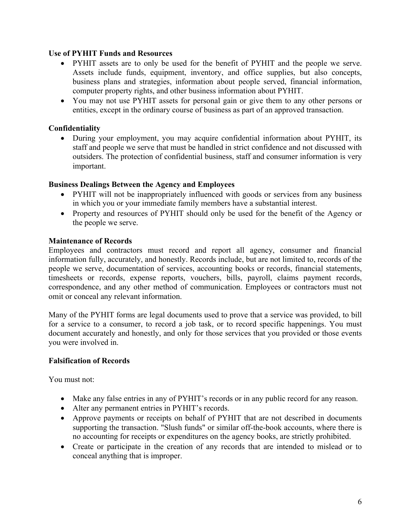### **Use of PYHIT Funds and Resources**

- PYHIT assets are to only be used for the benefit of PYHIT and the people we serve. Assets include funds, equipment, inventory, and office supplies, but also concepts, business plans and strategies, information about people served, financial information, computer property rights, and other business information about PYHIT.
- You may not use PYHIT assets for personal gain or give them to any other persons or entities, except in the ordinary course of business as part of an approved transaction.

## **Confidentiality**

• During your employment, you may acquire confidential information about PYHIT, its staff and people we serve that must be handled in strict confidence and not discussed with outsiders. The protection of confidential business, staff and consumer information is very important.

## **Business Dealings Between the Agency and Employees**

- PYHIT will not be inappropriately influenced with goods or services from any business in which you or your immediate family members have a substantial interest.
- Property and resources of PYHIT should only be used for the benefit of the Agency or the people we serve.

## **Maintenance of Records**

Employees and contractors must record and report all agency, consumer and financial information fully, accurately, and honestly. Records include, but are not limited to, records of the people we serve, documentation of services, accounting books or records, financial statements, timesheets or records, expense reports, vouchers, bills, payroll, claims payment records, correspondence, and any other method of communication. Employees or contractors must not omit or conceal any relevant information.

Many of the PYHIT forms are legal documents used to prove that a service was provided, to bill for a service to a consumer, to record a job task, or to record specific happenings. You must document accurately and honestly, and only for those services that you provided or those events you were involved in.

## **Falsification of Records**

You must not:

- Make any false entries in any of PYHIT's records or in any public record for any reason.
- Alter any permanent entries in PYHIT's records.
- Approve payments or receipts on behalf of PYHIT that are not described in documents supporting the transaction. "Slush funds" or similar off-the-book accounts, where there is no accounting for receipts or expenditures on the agency books, are strictly prohibited.
- Create or participate in the creation of any records that are intended to mislead or to conceal anything that is improper.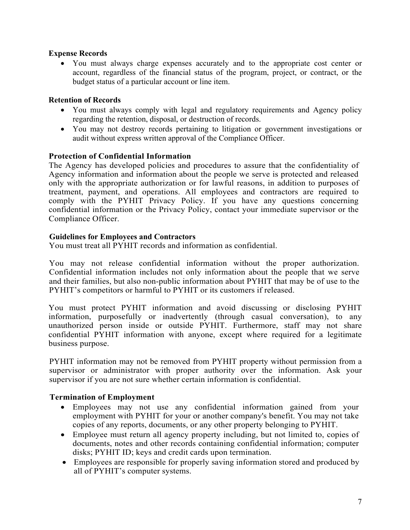### **Expense Records**

• You must always charge expenses accurately and to the appropriate cost center or account, regardless of the financial status of the program, project, or contract, or the budget status of a particular account or line item.

### **Retention of Records**

- You must always comply with legal and regulatory requirements and Agency policy regarding the retention, disposal, or destruction of records.
- You may not destroy records pertaining to litigation or government investigations or audit without express written approval of the Compliance Officer.

### **Protection of Confidential Information**

The Agency has developed policies and procedures to assure that the confidentiality of Agency information and information about the people we serve is protected and released only with the appropriate authorization or for lawful reasons, in addition to purposes of treatment, payment, and operations. All employees and contractors are required to comply with the PYHIT Privacy Policy. If you have any questions concerning confidential information or the Privacy Policy, contact your immediate supervisor or the Compliance Officer.

#### **Guidelines for Employees and Contractors**

You must treat all PYHIT records and information as confidential.

You may not release confidential information without the proper authorization. Confidential information includes not only information about the people that we serve and their families, but also non-public information about PYHIT that may be of use to the PYHIT's competitors or harmful to PYHIT or its customers if released.

You must protect PYHIT information and avoid discussing or disclosing PYHIT information, purposefully or inadvertently (through casual conversation), to any unauthorized person inside or outside PYHIT. Furthermore, staff may not share confidential PYHIT information with anyone, except where required for a legitimate business purpose.

PYHIT information may not be removed from PYHIT property without permission from a supervisor or administrator with proper authority over the information. Ask your supervisor if you are not sure whether certain information is confidential.

## **Termination of Employment**

- Employees may not use any confidential information gained from your employment with PYHIT for your or another company's benefit. You may not take copies of any reports, documents, or any other property belonging to PYHIT.
- Employee must return all agency property including, but not limited to, copies of documents, notes and other records containing confidential information; computer disks; PYHIT ID; keys and credit cards upon termination.
- Employees are responsible for properly saving information stored and produced by all of PYHIT's computer systems.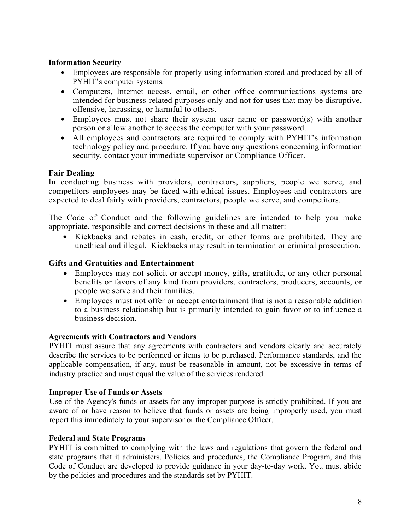### **Information Security**

- Employees are responsible for properly using information stored and produced by all of PYHIT's computer systems.
- Computers, Internet access, email, or other office communications systems are intended for business-related purposes only and not for uses that may be disruptive, offensive, harassing, or harmful to others.
- Employees must not share their system user name or password(s) with another person or allow another to access the computer with your password.
- All employees and contractors are required to comply with PYHIT's information technology policy and procedure. If you have any questions concerning information security, contact your immediate supervisor or Compliance Officer.

## **Fair Dealing**

In conducting business with providers, contractors, suppliers, people we serve, and competitors employees may be faced with ethical issues. Employees and contractors are expected to deal fairly with providers, contractors, people we serve, and competitors.

The Code of Conduct and the following guidelines are intended to help you make appropriate, responsible and correct decisions in these and all matter:

• Kickbacks and rebates in cash, credit, or other forms are prohibited. They are unethical and illegal. Kickbacks may result in termination or criminal prosecution.

### **Gifts and Gratuities and Entertainment**

- Employees may not solicit or accept money, gifts, gratitude, or any other personal benefits or favors of any kind from providers, contractors, producers, accounts, or people we serve and their families.
- Employees must not offer or accept entertainment that is not a reasonable addition to a business relationship but is primarily intended to gain favor or to influence a business decision.

#### **Agreements with Contractors and Vendors**

PYHIT must assure that any agreements with contractors and vendors clearly and accurately describe the services to be performed or items to be purchased. Performance standards, and the applicable compensation, if any, must be reasonable in amount, not be excessive in terms of industry practice and must equal the value of the services rendered.

#### **Improper Use of Funds or Assets**

Use of the Agency's funds or assets for any improper purpose is strictly prohibited. If you are aware of or have reason to believe that funds or assets are being improperly used, you must report this immediately to your supervisor or the Compliance Officer.

#### **Federal and State Programs**

PYHIT is committed to complying with the laws and regulations that govern the federal and state programs that it administers. Policies and procedures, the Compliance Program, and this Code of Conduct are developed to provide guidance in your day-to-day work. You must abide by the policies and procedures and the standards set by PYHIT.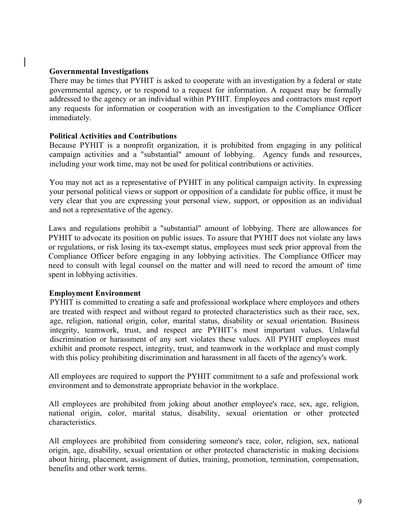#### **Governmental Investigations**

There may be times that PYHIT is asked to cooperate with an investigation by a federal or state governmental agency, or to respond to a request for information. A request may be formally addressed to the agency or an individual within PYHIT. Employees and contractors must report any requests for information or cooperation with an investigation to the Compliance Officer immediately.

### **Political Activities and Contributions**

Because PYHIT is a nonprofit organization, it is prohibited from engaging in any political campaign activities and a "substantial" amount of lobbying. Agency funds and resources, including your work time, may not be used for political contributions or activities.

You may not act as a representative of PYHIT in any political campaign activity. In expressing your personal political views or support or opposition of a candidate for public office, it must be very clear that you are expressing your personal view, support, or opposition as an individual and not a representative of the agency.

Laws and regulations prohibit a "substantial" amount of lobbying. There are allowances for PYHIT to advocate its position on public issues. To assure that PYHIT does not violate any laws or regulations, or risk losing its tax-exempt status, employees must seek prior approval from the Compliance Officer before engaging in any lobbying activities. The Compliance Officer may need to consult with legal counsel on the matter and will need to record the amount of' time spent in lobbying activities.

#### **Employment Environment**

PYHIT is committed to creating a safe and professional workplace where employees and others are treated with respect and without regard to protected characteristics such as their race, sex, age, religion, national origin, color, marital status, disability or sexual orientation. Business integrity, teamwork, trust, and respect are PYHIT's most important values. Unlawful discrimination or harassment of any sort violates these values. All PYHIT employees must exhibit and promote respect, integrity, trust, and teamwork in the workplace and must comply with this policy prohibiting discrimination and harassment in all facets of the agency's work.

All employees are required to support the PYHIT commitment to a safe and professional work environment and to demonstrate appropriate behavior in the workplace.

All employees are prohibited from joking about another employee's race, sex, age, religion, national origin, color, marital status, disability, sexual orientation or other protected characteristics.

All employees are prohibited from considering someone's race, color, religion, sex, national origin, age, disability, sexual orientation or other protected characteristic in making decisions about hiring, placement, assignment of duties, training, promotion, termination, compensation, benefits and other work terms.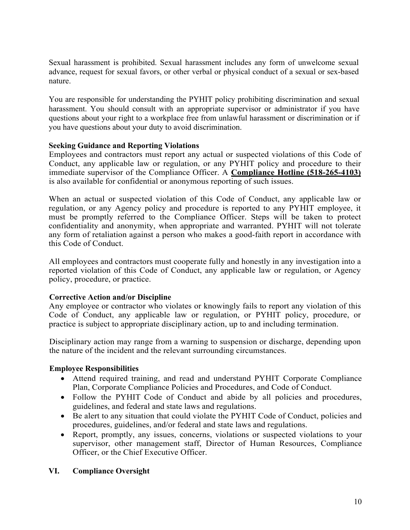Sexual harassment is prohibited. Sexual harassment includes any form of unwelcome sexual advance, request for sexual favors, or other verbal or physical conduct of a sexual or sex-based nature.

You are responsible for understanding the PYHIT policy prohibiting discrimination and sexual harassment. You should consult with an appropriate supervisor or administrator if you have questions about your right to a workplace free from unlawful harassment or discrimination or if you have questions about your duty to avoid discrimination.

#### **Seeking Guidance and Reporting Violations**

Employees and contractors must report any actual or suspected violations of this Code of Conduct, any applicable law or regulation, or any PYHIT policy and procedure to their immediate supervisor of the Compliance Officer. A **Compliance Hotline (518-265-4103)** is also available for confidential or anonymous reporting of such issues.

When an actual or suspected violation of this Code of Conduct, any applicable law or regulation, or any Agency policy and procedure is reported to any PYHIT employee, it must be promptly referred to the Compliance Officer. Steps will be taken to protect confidentiality and anonymity, when appropriate and warranted. PYHIT will not tolerate any form of retaliation against a person who makes a good-faith report in accordance with this Code of Conduct.

All employees and contractors must cooperate fully and honestly in any investigation into a reported violation of this Code of Conduct, any applicable law or regulation, or Agency policy, procedure, or practice.

#### **Corrective Action and/or Discipline**

Any employee or contractor who violates or knowingly fails to report any violation of this Code of Conduct, any applicable law or regulation, or PYHIT policy, procedure, or practice is subject to appropriate disciplinary action, up to and including termination.

Disciplinary action may range from a warning to suspension or discharge, depending upon the nature of the incident and the relevant surrounding circumstances.

#### **Employee Responsibilities**

- Attend required training, and read and understand PYHIT Corporate Compliance Plan, Corporate Compliance Policies and Procedures, and Code of Conduct.
- Follow the PYHIT Code of Conduct and abide by all policies and procedures, guidelines, and federal and state laws and regulations.
- Be alert to any situation that could violate the PYHIT Code of Conduct, policies and procedures, guidelines, and/or federal and state laws and regulations.
- Report, promptly, any issues, concerns, violations or suspected violations to your supervisor, other management staff, Director of Human Resources, Compliance Officer, or the Chief Executive Officer.

## **VI. Compliance Oversight**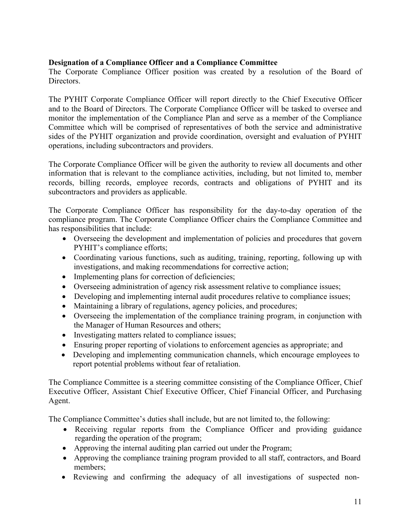## **Designation of a Compliance Officer and a Compliance Committee**

The Corporate Compliance Officer position was created by a resolution of the Board of Directors.

The PYHIT Corporate Compliance Officer will report directly to the Chief Executive Officer and to the Board of Directors. The Corporate Compliance Officer will be tasked to oversee and monitor the implementation of the Compliance Plan and serve as a member of the Compliance Committee which will be comprised of representatives of both the service and administrative sides of the PYHIT organization and provide coordination, oversight and evaluation of PYHIT operations, including subcontractors and providers.

The Corporate Compliance Officer will be given the authority to review all documents and other information that is relevant to the compliance activities, including, but not limited to, member records, billing records, employee records, contracts and obligations of PYHIT and its subcontractors and providers as applicable.

The Corporate Compliance Officer has responsibility for the day-to-day operation of the compliance program. The Corporate Compliance Officer chairs the Compliance Committee and has responsibilities that include:

- Overseeing the development and implementation of policies and procedures that govern PYHIT's compliance efforts;
- Coordinating various functions, such as auditing, training, reporting, following up with investigations, and making recommendations for corrective action;
- Implementing plans for correction of deficiencies;
- Overseeing administration of agency risk assessment relative to compliance issues;
- Developing and implementing internal audit procedures relative to compliance issues;
- Maintaining a library of regulations, agency policies, and procedures;
- Overseeing the implementation of the compliance training program, in conjunction with the Manager of Human Resources and others;
- Investigating matters related to compliance issues;
- Ensuring proper reporting of violations to enforcement agencies as appropriate; and
- Developing and implementing communication channels, which encourage employees to report potential problems without fear of retaliation.

The Compliance Committee is a steering committee consisting of the Compliance Officer, Chief Executive Officer, Assistant Chief Executive Officer, Chief Financial Officer, and Purchasing Agent.

The Compliance Committee's duties shall include, but are not limited to, the following:

- Receiving regular reports from the Compliance Officer and providing guidance regarding the operation of the program;
- Approving the internal auditing plan carried out under the Program;
- Approving the compliance training program provided to all staff, contractors, and Board members;
- Reviewing and confirming the adequacy of all investigations of suspected non-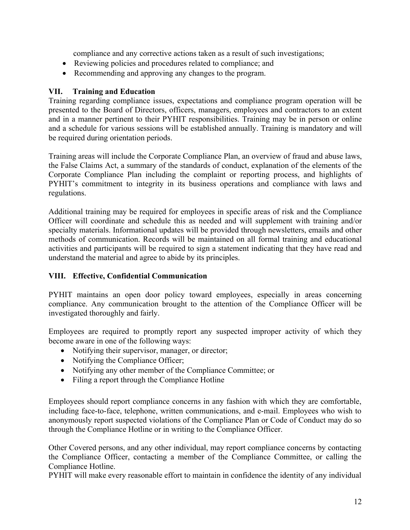compliance and any corrective actions taken as a result of such investigations;

- Reviewing policies and procedures related to compliance; and
- Recommending and approving any changes to the program.

## **VII. Training and Education**

Training regarding compliance issues, expectations and compliance program operation will be presented to the Board of Directors, officers, managers, employees and contractors to an extent and in a manner pertinent to their PYHIT responsibilities. Training may be in person or online and a schedule for various sessions will be established annually. Training is mandatory and will be required during orientation periods.

Training areas will include the Corporate Compliance Plan, an overview of fraud and abuse laws, the False Claims Act, a summary of the standards of conduct, explanation of the elements of the Corporate Compliance Plan including the complaint or reporting process, and highlights of PYHIT's commitment to integrity in its business operations and compliance with laws and regulations.

Additional training may be required for employees in specific areas of risk and the Compliance Officer will coordinate and schedule this as needed and will supplement with training and/or specialty materials. Informational updates will be provided through newsletters, emails and other methods of communication. Records will be maintained on all formal training and educational activities and participants will be required to sign a statement indicating that they have read and understand the material and agree to abide by its principles.

# **VIII. Effective, Confidential Communication**

PYHIT maintains an open door policy toward employees, especially in areas concerning compliance. Any communication brought to the attention of the Compliance Officer will be investigated thoroughly and fairly.

Employees are required to promptly report any suspected improper activity of which they become aware in one of the following ways:

- Notifying their supervisor, manager, or director;
- Notifying the Compliance Officer;
- Notifying any other member of the Compliance Committee; or
- Filing a report through the Compliance Hotline

Employees should report compliance concerns in any fashion with which they are comfortable, including face-to-face, telephone, written communications, and e-mail. Employees who wish to anonymously report suspected violations of the Compliance Plan or Code of Conduct may do so through the Compliance Hotline or in writing to the Compliance Officer.

Other Covered persons, and any other individual, may report compliance concerns by contacting the Compliance Officer, contacting a member of the Compliance Committee, or calling the Compliance Hotline.

PYHIT will make every reasonable effort to maintain in confidence the identity of any individual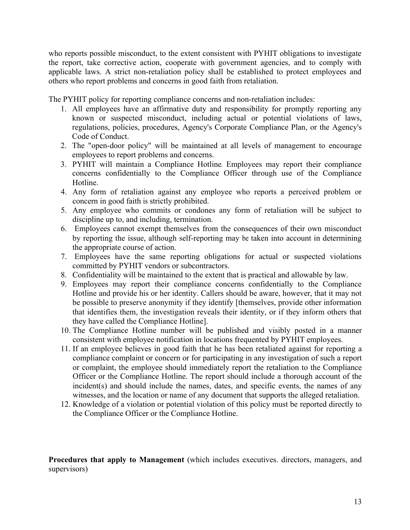who reports possible misconduct, to the extent consistent with PYHIT obligations to investigate the report, take corrective action, cooperate with government agencies, and to comply with applicable laws. A strict non-retaliation policy shall be established to protect employees and others who report problems and concerns in good faith from retaliation.

The PYHIT policy for reporting compliance concerns and non-retaliation includes:

- 1. All employees have an affirmative duty and responsibility for promptly reporting any known or suspected misconduct, including actual or potential violations of laws, regulations, policies, procedures, Agency's Corporate Compliance Plan, or the Agency's Code of Conduct.
- 2. The "open-door policy" will be maintained at all levels of management to encourage employees to report problems and concerns.
- 3. PYHIT will maintain a Compliance Hotline*.* Employees may report their compliance concerns confidentially to the Compliance Officer through use of the Compliance Hotline.
- 4. Any form of retaliation against any employee who reports a perceived problem or concern in good faith is strictly prohibited.
- 5. Any employee who commits or condones any form of retaliation will be subject to discipline up to, and including, termination.
- 6. Employees cannot exempt themselves from the consequences of their own misconduct by reporting the issue, although self-reporting may be taken into account in determining the appropriate course of action.
- 7. Employees have the same reporting obligations for actual or suspected violations committed by PYHIT vendors or subcontractors.
- 8. Confidentiality will be maintained to the extent that is practical and allowable by law.
- 9. Employees may report their compliance concerns confidentially to the Compliance Hotline and provide his or her identity. Callers should be aware, however, that it may not be possible to preserve anonymity if they identify [themselves, provide other information that identifies them, the investigation reveals their identity, or if they inform others that they have called the Compliance Hotline].
- 10. The Compliance Hotline number will be published and visibly posted in a manner consistent with employee notification in locations frequented by PYHIT employees.
- 11. If an employee believes in good faith that he has been retaliated against for reporting a compliance complaint or concern or for participating in any investigation of such a report or complaint, the employee should immediately report the retaliation to the Compliance Officer or the Compliance Hotline. The report should include a thorough account of the incident(s) and should include the names, dates, and specific events, the names of any witnesses, and the location or name of any document that supports the alleged retaliation.
- 12. Knowledge of a violation or potential violation of this policy must be reported directly to the Compliance Officer or the Compliance Hotline.

**Procedures that apply to Management** (which includes executives. directors, managers, and supervisors)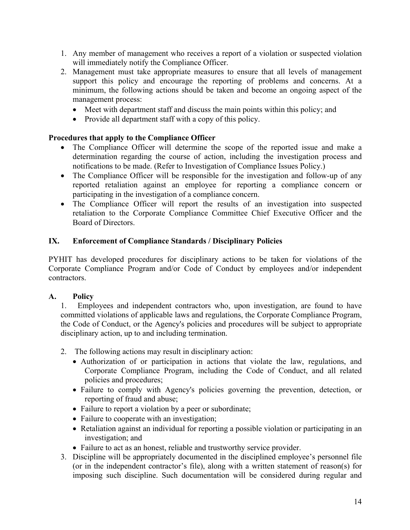- 1. Any member of management who receives a report of a violation or suspected violation will immediately notify the Compliance Officer.
- 2. Management must take appropriate measures to ensure that all levels of management support this policy and encourage the reporting of problems and concerns. At a minimum, the following actions should be taken and become an ongoing aspect of the management process:
	- Meet with department staff and discuss the main points within this policy; and
	- Provide all department staff with a copy of this policy.

# **Procedures that apply to the Compliance Officer**

- The Compliance Officer will determine the scope of the reported issue and make a determination regarding the course of action, including the investigation process and notifications to be made. (Refer to Investigation of Compliance Issues Policy.)
- The Compliance Officer will be responsible for the investigation and follow-up of any reported retaliation against an employee for reporting a compliance concern or participating in the investigation of a compliance concern.
- The Compliance Officer will report the results of an investigation into suspected retaliation to the Corporate Compliance Committee Chief Executive Officer and the Board of Directors.

# **IX. Enforcement of Compliance Standards / Disciplinary Policies**

PYHIT has developed procedures for disciplinary actions to be taken for violations of the Corporate Compliance Program and/or Code of Conduct by employees and/or independent contractors.

# **A. Policy**

1. Employees and independent contractors who, upon investigation, are found to have committed violations of applicable laws and regulations, the Corporate Compliance Program, the Code of Conduct, or the Agency's policies and procedures will be subject to appropriate disciplinary action, up to and including termination.

- 2. The following actions may result in disciplinary action:
	- Authorization of or participation in actions that violate the law, regulations, and Corporate Compliance Program, including the Code of Conduct, and all related policies and procedures;
	- Failure to comply with Agency's policies governing the prevention, detection, or reporting of fraud and abuse;
	- Failure to report a violation by a peer or subordinate;
	- Failure to cooperate with an investigation;
	- Retaliation against an individual for reporting a possible violation or participating in an investigation; and
	- Failure to act as an honest, reliable and trustworthy service provider.
- 3. Discipline will be appropriately documented in the disciplined employee's personnel file (or in the independent contractor's file), along with a written statement of reason(s) for imposing such discipline. Such documentation will be considered during regular and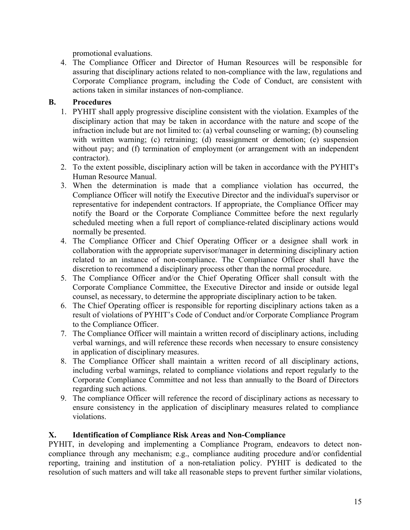promotional evaluations.

4. The Compliance Officer and Director of Human Resources will be responsible for assuring that disciplinary actions related to non-compliance with the law, regulations and Corporate Compliance program, including the Code of Conduct, are consistent with actions taken in similar instances of non-compliance.

## **B. Procedures**

- 1. PYHIT shall apply progressive discipline consistent with the violation. Examples of the disciplinary action that may be taken in accordance with the nature and scope of the infraction include but are not limited to: (a) verbal counseling or warning; (b) counseling with written warning; (c) retraining; (d) reassignment or demotion; (e) suspension without pay; and (f) termination of employment (or arrangement with an independent contractor).
- 2. To the extent possible, disciplinary action will be taken in accordance with the PYHIT's Human Resource Manual.
- 3. When the determination is made that a compliance violation has occurred, the Compliance Officer will notify the Executive Director and the individual's supervisor or representative for independent contractors. If appropriate, the Compliance Officer may notify the Board or the Corporate Compliance Committee before the next regularly scheduled meeting when a full report of compliance-related disciplinary actions would normally be presented.
- 4. The Compliance Officer and Chief Operating Officer or a designee shall work in collaboration with the appropriate supervisor/manager in determining disciplinary action related to an instance of non-compliance. The Compliance Officer shall have the discretion to recommend a disciplinary process other than the normal procedure.
- 5. The Compliance Officer and/or the Chief Operating Officer shall consult with the Corporate Compliance Committee, the Executive Director and inside or outside legal counsel, as necessary, to determine the appropriate disciplinary action to be taken.
- 6. The Chief Operating officer is responsible for reporting disciplinary actions taken as a result of violations of PYHIT's Code of Conduct and/or Corporate Compliance Program to the Compliance Officer.
- 7. The Compliance Officer will maintain a written record of disciplinary actions, including verbal warnings, and will reference these records when necessary to ensure consistency in application of disciplinary measures.
- 8. The Compliance Officer shall maintain a written record of all disciplinary actions, including verbal warnings, related to compliance violations and report regularly to the Corporate Compliance Committee and not less than annually to the Board of Directors regarding such actions.
- 9. The compliance Officer will reference the record of disciplinary actions as necessary to ensure consistency in the application of disciplinary measures related to compliance violations.

## **X. Identification of Compliance Risk Areas and Non-Compliance**

PYHIT, in developing and implementing a Compliance Program, endeavors to detect noncompliance through any mechanism; e.g., compliance auditing procedure and/or confidential reporting, training and institution of a non-retaliation policy. PYHIT is dedicated to the resolution of such matters and will take all reasonable steps to prevent further similar violations,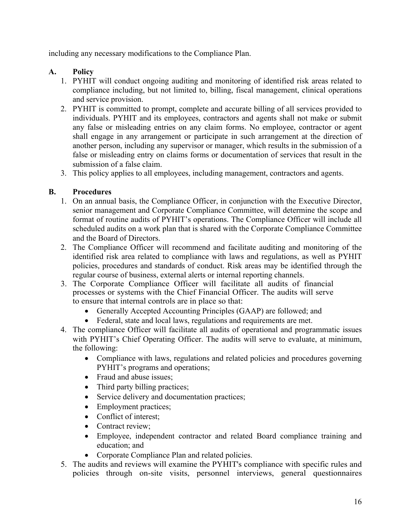including any necessary modifications to the Compliance Plan.

# **A. Policy**

- 1. PYHIT will conduct ongoing auditing and monitoring of identified risk areas related to compliance including, but not limited to, billing, fiscal management, clinical operations and service provision.
- 2. PYHIT is committed to prompt, complete and accurate billing of all services provided to individuals. PYHIT and its employees, contractors and agents shall not make or submit any false or misleading entries on any claim forms. No employee, contractor or agent shall engage in any arrangement or participate in such arrangement at the direction of another person, including any supervisor or manager, which results in the submission of a false or misleading entry on claims forms or documentation of services that result in the submission of a false claim.
- 3. This policy applies to all employees, including management, contractors and agents.

# **B. Procedures**

- 1. On an annual basis, the Compliance Officer, in conjunction with the Executive Director, senior management and Corporate Compliance Committee, will determine the scope and format of routine audits of PYHIT's operations. The Compliance Officer will include all scheduled audits on a work plan that is shared with the Corporate Compliance Committee and the Board of Directors.
- 2. The Compliance Officer will recommend and facilitate auditing and monitoring of the identified risk area related to compliance with laws and regulations, as well as PYHIT policies, procedures and standards of conduct. Risk areas may be identified through the regular course of business, external alerts or internal reporting channels.
- 3. The Corporate Compliance Officer will facilitate all audits of financial processes or systems with the Chief Financial Officer. The audits will serve to ensure that internal controls are in place so that:
	- Generally Accepted Accounting Principles (GAAP) are followed; and
	- Federal, state and local laws, regulations and requirements are met.
- 4. The compliance Officer will facilitate all audits of operational and programmatic issues with PYHIT's Chief Operating Officer. The audits will serve to evaluate, at minimum, the following:
	- Compliance with laws, regulations and related policies and procedures governing PYHIT's programs and operations;
	- Fraud and abuse issues;
	- Third party billing practices;
	- Service delivery and documentation practices;
	- Employment practices;
	- Conflict of interest;
	- Contract review;
	- Employee, independent contractor and related Board compliance training and education; and
	- Corporate Compliance Plan and related policies.
- 5. The audits and reviews will examine the PYHIT's compliance with specific rules and policies through on-site visits, personnel interviews, general questionnaires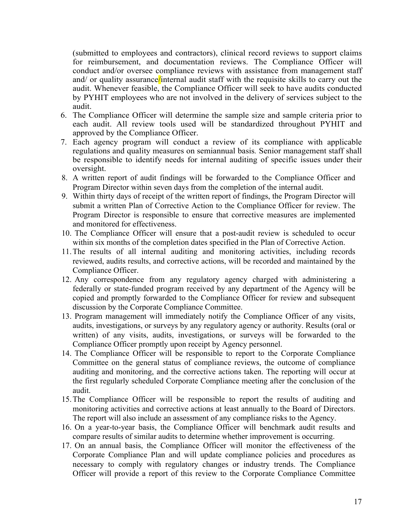(submitted to employees and contractors), clinical record reviews to support claims for reimbursement, and documentation reviews. The Compliance Officer will conduct and/or oversee compliance reviews with assistance from management staff and/ or quality assurance/internal audit staff with the requisite skills to carry out the audit. Whenever feasible, the Compliance Officer will seek to have audits conducted by PYHIT employees who are not involved in the delivery of services subject to the audit.

- 6. The Compliance Officer will determine the sample size and sample criteria prior to each audit. All review tools used will be standardized throughout PYHIT and approved by the Compliance Officer.
- 7. Each agency program will conduct a review of its compliance with applicable regulations and quality measures on semiannual basis*.* Senior management staff shall be responsible to identify needs for internal auditing of specific issues under their oversight.
- 8. A written report of audit findings will be forwarded to the Compliance Officer and Program Director within seven days from the completion of the internal audit.
- 9. Within thirty days of receipt of the written report of findings, the Program Director will submit a written Plan of Corrective Action to the Compliance Officer for review. The Program Director is responsible to ensure that corrective measures are implemented and monitored for effectiveness.
- 10. The Compliance Officer will ensure that a post-audit review is scheduled to occur within six months of the completion dates specified in the Plan of Corrective Action.
- 11.The results of all internal auditing and monitoring activities, including records reviewed, audits results, and corrective actions, will be recorded and maintained by the Compliance Officer.
- 12. Any correspondence from any regulatory agency charged with administering a federally or state-funded program received by any department of the Agency will be copied and promptly forwarded to the Compliance Officer for review and subsequent discussion by the Corporate Compliance Committee.
- 13. Program management will immediately notify the Compliance Officer of any visits, audits, investigations, or surveys by any regulatory agency or authority. Results (oral or written) of any visits, audits, investigations, or surveys will be forwarded to the Compliance Officer promptly upon receipt by Agency personnel.
- 14. The Compliance Officer will be responsible to report to the Corporate Compliance Committee on the general status of compliance reviews, the outcome of compliance auditing and monitoring, and the corrective actions taken. The reporting will occur at the first regularly scheduled Corporate Compliance meeting after the conclusion of the audit.
- 15.The Compliance Officer will be responsible to report the results of auditing and monitoring activities and corrective actions at least annually to the Board of Directors. The report will also include an assessment of any compliance risks to the Agency.
- 16. On a year-to-year basis, the Compliance Officer will benchmark audit results and compare results of similar audits to determine whether improvement is occurring.
- 17. On an annual basis, the Compliance Officer will monitor the effectiveness of the Corporate Compliance Plan and will update compliance policies and procedures as necessary to comply with regulatory changes or industry trends. The Compliance Officer will provide a report of this review to the Corporate Compliance Committee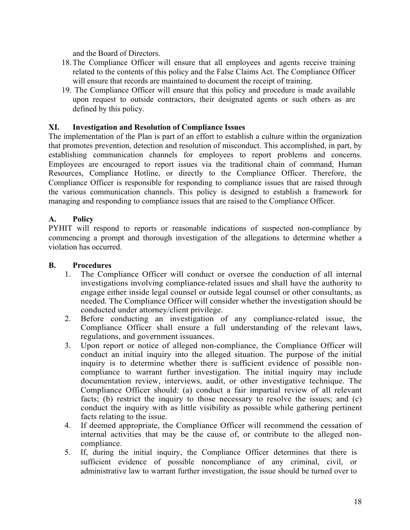and the Board of Directors.

- 18.The Compliance Officer will ensure that all employees and agents receive training related to the contents of this policy and the False Claims Act. The Compliance Officer will ensure that records are maintained to document the receipt of training.
- 19. The Compliance Officer will ensure that this policy and procedure is made available upon request to outside contractors, their designated agents or such others as are defined by this policy.

### **XI. Investigation and Resolution of Compliance Issues**

The implementation of the Plan is part of an effort to establish a culture within the organization that promotes prevention, detection and resolution of misconduct. This accomplished, in part, by establishing communication channels for employees to report problems and concerns. Employees are encouraged to report issues via the traditional chain of command, Human Resources, Compliance Hotline, or directly to the Compliance Officer. Therefore, the Compliance Officer is responsible for responding to compliance issues that are raised through the various communication channels. This policy is designed to establish a framework for managing and responding to compliance issues that are raised to the Compliance Officer.

## **A. Policy**

PYHIT will respond to reports or reasonable indications of suspected non-compliance by commencing a prompt and thorough investigation of the allegations to determine whether a violation has occurred.

#### **B. Procedures**

- 1. The Compliance Officer will conduct or oversee the conduction of all internal investigations involving compliance-related issues and shall have the authority to engage either inside legal counsel or outside legal counsel or other consultants, as needed. The Compliance Officer will consider whether the investigation should be conducted under attorney/client privilege.
- 2. Before conducting an investigation of any compliance-related issue, the Compliance Officer shall ensure a full understanding of the relevant laws, regulations, and government issuances.
- 3. Upon report or notice of alleged non-compliance, the Compliance Officer will conduct an initial inquiry into the alleged situation. The purpose of the initial inquiry is to determine whether there is sufficient evidence of possible noncompliance to warrant further investigation. The initial inquiry may include documentation review, interviews, audit, or other investigative technique. The Compliance Officer should: (a) conduct a fair impartial review of all relevant facts; (b) restrict the inquiry to those necessary to resolve the issues; and (c) conduct the inquiry with as little visibility as possible while gathering pertinent facts relating to the issue.
- 4. If deemed appropriate, the Compliance Officer will recommend the cessation of internal activities that may be the cause of, or contribute to the alleged noncompliance.
- 5. If, during the initial inquiry, the Compliance Officer determines that there is sufficient evidence of possible noncompliance of any criminal, civil, or administrative law to warrant further investigation, the issue should be turned over to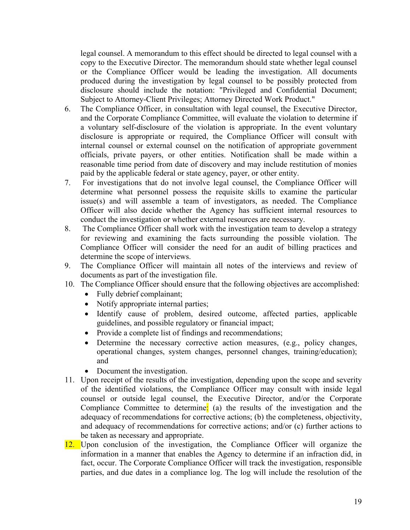legal counsel. A memorandum to this effect should be directed to legal counsel with a copy to the Executive Director. The memorandum should state whether legal counsel or the Compliance Officer would be leading the investigation. All documents produced during the investigation by legal counsel to be possibly protected from disclosure should include the notation: "Privileged and Confidential Document; Subject to Attorney-Client Privileges; Attorney Directed Work Product."

- 6. The Compliance Officer, in consultation with legal counsel, the Executive Director, and the Corporate Compliance Committee, will evaluate the violation to determine if a voluntary self-disclosure of the violation is appropriate. In the event voluntary disclosure is appropriate or required, the Compliance Officer will consult with internal counsel or external counsel on the notification of appropriate government officials, private payers, or other entities. Notification shall be made within a reasonable time period from date of discovery and may include restitution of monies paid by the applicable federal or state agency, payer, or other entity.
- 7. For investigations that do not involve legal counsel, the Compliance Officer will determine what personnel possess the requisite skills to examine the particular issue(s) and will assemble a team of investigators, as needed. The Compliance Officer will also decide whether the Agency has sufficient internal resources to conduct the investigation or whether external resources are necessary.
- 8. The Compliance Officer shall work with the investigation team to develop a strategy for reviewing and examining the facts surrounding the possible violation. The Compliance Officer will consider the need for an audit of billing practices and determine the scope of interviews.
- 9. The Compliance Officer will maintain all notes of the interviews and review of documents as part of the investigation file.
- 10. The Compliance Officer should ensure that the following objectives are accomplished:
	- Fully debrief complainant;
	- Notify appropriate internal parties;
	- Identify cause of problem, desired outcome, affected parties, applicable guidelines, and possible regulatory or financial impact;
	- Provide a complete list of findings and recommendations;
	- Determine the necessary corrective action measures, (e.g., policy changes, operational changes, system changes, personnel changes, training/education); and
	- Document the investigation.
- 11. Upon receipt of the results of the investigation, depending upon the scope and severity of the identified violations, the Compliance Officer may consult with inside legal counsel or outside legal counsel, the Executive Director, and/or the Corporate Compliance Committee to determine: (a) the results of the investigation and the adequacy of recommendations for corrective actions; (b) the completeness, objectivity, and adequacy of recommendations for corrective actions; and/or (c) further actions to be taken as necessary and appropriate.
- 12. Upon conclusion of the investigation, the Compliance Officer will organize the information in a manner that enables the Agency to determine if an infraction did, in fact, occur. The Corporate Compliance Officer will track the investigation, responsible parties, and due dates in a compliance log. The log will include the resolution of the